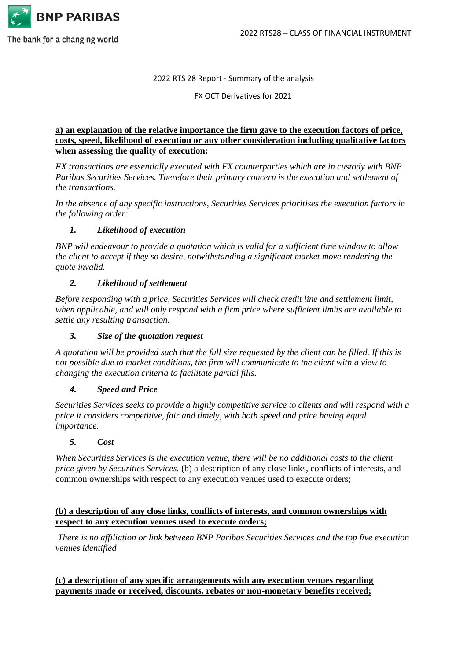

#### 2022 RTS 28 Report - Summary of the analysis

FX OCT Derivatives for 2021

## **a) an explanation of the relative importance the firm gave to the execution factors of price, costs, speed, likelihood of execution or any other consideration including qualitative factors when assessing the quality of execution;**

*FX transactions are essentially executed with FX counterparties which are in custody with BNP Paribas Securities Services. Therefore their primary concern is the execution and settlement of the transactions.* 

*In the absence of any specific instructions, Securities Services prioritises the execution factors in the following order:*

# *1. Likelihood of execution*

*BNP will endeavour to provide a quotation which is valid for a sufficient time window to allow the client to accept if they so desire, notwithstanding a significant market move rendering the quote invalid.* 

### *2. Likelihood of settlement*

*Before responding with a price, Securities Services will check credit line and settlement limit, when applicable, and will only respond with a firm price where sufficient limits are available to settle any resulting transaction.*

### *3. Size of the quotation request*

*A quotation will be provided such that the full size requested by the client can be filled. If this is not possible due to market conditions, the firm will communicate to the client with a view to changing the execution criteria to facilitate partial fills.*

### *4. Speed and Price*

*Securities Services seeks to provide a highly competitive service to clients and will respond with a price it considers competitive, fair and timely, with both speed and price having equal importance.*

### *5. Cost*

*When Securities Services is the execution venue, there will be no additional costs to the client price given by Securities Services.* (b) a description of any close links, conflicts of interests, and common ownerships with respect to any execution venues used to execute orders;

### **(b) a description of any close links, conflicts of interests, and common ownerships with respect to any execution venues used to execute orders;**

*There is no affiliation or link between BNP Paribas Securities Services and the top five execution venues identified*

**(c) a description of any specific arrangements with any execution venues regarding payments made or received, discounts, rebates or non-monetary benefits received;**